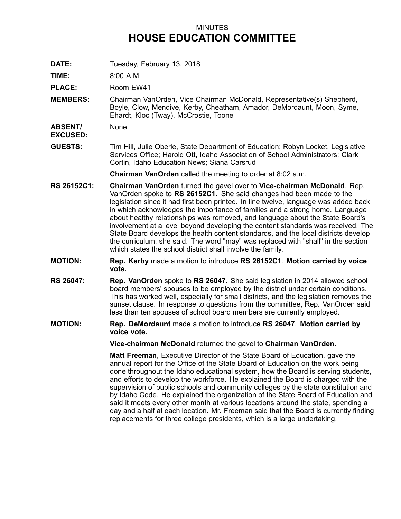## MINUTES **HOUSE EDUCATION COMMITTEE**

**DATE:** Tuesday, February 13, 2018

**TIME:** 8:00 A.M.

**PLACE:** Room EW41

**MEMBERS:** Chairman VanOrden, Vice Chairman McDonald, Representative(s) Shepherd, Boyle, Clow, Mendive, Kerby, Cheatham, Amador, DeMordaunt, Moon, Syme, Ehardt, Kloc (Tway), McCrostie, Toone

**ABSENT/** None

**EXCUSED:**

**GUESTS:** Tim Hill, Julie Oberle, State Department of Education; Robyn Locket, Legislative Services Office; Harold Ott, Idaho Association of School Administrators; Clark Cortin, Idaho Education News; Siana Carsrud

**Chairman VanOrden** called the meeting to order at 8:02 a.m.

- **RS 26152C1: Chairman VanOrden** turned the gavel over to **Vice-chairman McDonald**. Rep. VanOrden spoke to **RS 26152C1**. She said changes had been made to the legislation since it had first been printed. In line twelve, language was added back in which acknowledges the importance of families and <sup>a</sup> strong home. Language about healthy relationships was removed, and language about the State Board's involvement at <sup>a</sup> level beyond developing the content standards was received. The State Board develops the health content standards, and the local districts develop the curriculum, she said. The word "may" was replaced with "shall" in the section which states the school district shall involve the family.
- **MOTION: Rep. Kerby** made <sup>a</sup> motion to introduce **RS 26152C1**. **Motion carried by voice vote.**
- **RS 26047: Rep. VanOrden** spoke to **RS 26047.** She said legislation in 2014 allowed school board members' spouses to be employed by the district under certain conditions. This has worked well, especially for small districts, and the legislation removes the sunset clause. In response to questions from the committee, Rep. VanOrden said less than ten spouses of school board members are currently employed.
- **MOTION: Rep. DeMordaunt** made <sup>a</sup> motion to introduce **RS 26047**. **Motion carried by voice vote.**

**Vice-chairman McDonald** returned the gavel to **Chairman VanOrden**.

**Matt Freeman**, Executive Director of the State Board of Education, gave the annual report for the Office of the State Board of Education on the work being done throughout the Idaho educational system, how the Board is serving students, and efforts to develop the workforce. He explained the Board is charged with the supervision of public schools and community colleges by the state constitution and by Idaho Code. He explained the organization of the State Board of Education and said it meets every other month at various locations around the state, spending <sup>a</sup> day and <sup>a</sup> half at each location. Mr. Freeman said that the Board is currently finding replacements for three college presidents, which is <sup>a</sup> large undertaking.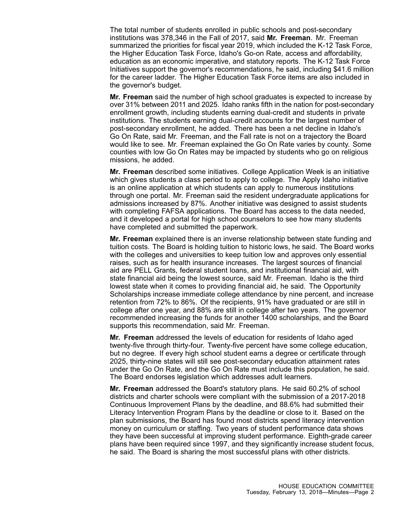The total number of students enrolled in public schools and post-secondary institutions was 378,346 in the Fall of 2017, said **Mr. Freeman**. Mr. Freeman summarized the priorities for fiscal year 2019, which included the K-12 Task Force, the Higher Education Task Force, Idaho's Go-on Rate, access and affordability, education as an economic imperative, and statutory reports. The K-12 Task Force Initiatives support the governor's recommendations, he said, including \$41.6 million for the career ladder. The Higher Education Task Force items are also included in the governor's budget.

**Mr. Freeman** said the number of high school graduates is expected to increase by over 31% between 2011 and 2025. Idaho ranks fifth in the nation for post-secondary enrollment growth, including students earning dual-credit and students in private institutions. The students earning dual-credit accounts for the largest number of post-secondary enrollment, he added. There has been <sup>a</sup> net decline in Idaho's Go On Rate, said Mr. Freeman, and the Fall rate is not on <sup>a</sup> trajectory the Board would like to see. Mr. Freeman explained the Go On Rate varies by county. Some counties with low Go On Rates may be impacted by students who go on religious missions, he added.

**Mr. Freeman** described some initiatives. College Application Week is an initiative which gives students <sup>a</sup> class period to apply to college. The Apply Idaho initiative is an online application at which students can apply to numerous institutions through one portal. Mr. Freeman said the resident undergraduate applications for admissions increased by 87%. Another initiative was designed to assist students with completing FAFSA applications. The Board has access to the data needed, and it developed <sup>a</sup> portal for high school counselors to see how many students have completed and submitted the paperwork.

**Mr. Freeman** explained there is an inverse relationship between state funding and tuition costs. The Board is holding tuition to historic lows, he said. The Board works with the colleges and universities to keep tuition low and approves only essential raises, such as for health insurance increases. The largest sources of financial aid are PELL Grants, federal student loans, and institutional financial aid, with state financial aid being the lowest source, said Mr. Freeman. Idaho is the third lowest state when it comes to providing financial aid, he said. The Opportunity Scholarships increase immediate college attendance by nine percent, and increase retention from 72% to 86%. Of the recipients, 91% have graduated or are still in college after one year, and 88% are still in college after two years. The governor recommended increasing the funds for another 1400 scholarships, and the Board supports this recommendation, said Mr. Freeman.

**Mr. Freeman** addressed the levels of education for residents of Idaho aged twenty-five through thirty-four. Twenty-five percent have some college education, but no degree. If every high school student earns <sup>a</sup> degree or certificate through 2025, thirty-nine states will still see post-secondary education attainment rates under the Go On Rate, and the Go On Rate must include this population, he said. The Board endorses legislation which addresses adult learners.

**Mr. Freeman** addressed the Board's statutory plans. He said 60.2% of school districts and charter schools were compliant with the submission of <sup>a</sup> 2017-2018 Continuous Improvement Plans by the deadline, and 88.6% had submitted their Literacy Intervention Program Plans by the deadline or close to it. Based on the plan submissions, the Board has found most districts spend literacy intervention money on curriculum or staffing. Two years of student performance data shows they have been successful at improving student performance. Eighth-grade career plans have been required since 1997, and they significantly increase student focus, he said. The Board is sharing the most successful plans with other districts.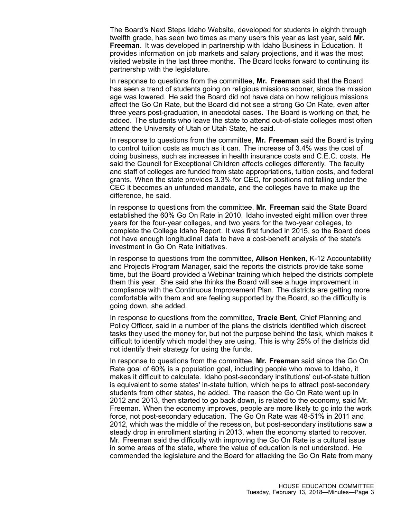The Board's Next Steps Idaho Website, developed for students in eighth through twelfth grade, has seen two times as many users this year as last year, said **Mr. Freeman**. It was developed in partnership with Idaho Business in Education. It provides information on job markets and salary projections, and it was the most visited website in the last three months. The Board looks forward to continuing its partnership with the legislature.

In response to questions from the committee, **Mr. Freeman** said that the Board has seen <sup>a</sup> trend of students going on religious missions sooner, since the mission age was lowered. He said the Board did not have data on how religious missions affect the Go On Rate, but the Board did not see <sup>a</sup> strong Go On Rate, even after three years post-graduation, in anecdotal cases. The Board is working on that, he added. The students who leave the state to attend out-of-state colleges most often attend the University of Utah or Utah State, he said.

In response to questions from the committee, **Mr. Freeman** said the Board is trying to control tuition costs as much as it can. The increase of 3.4% was the cost of doing business, such as increases in health insurance costs and C.E.C. costs. He said the Council for Exceptional Children affects colleges differently. The faculty and staff of colleges are funded from state appropriations, tuition costs, and federal grants. When the state provides 3.3% for CEC, for positions not falling under the CEC it becomes an unfunded mandate, and the colleges have to make up the difference, he said.

In response to questions from the committee, **Mr. Freeman** said the State Board established the 60% Go On Rate in 2010. Idaho invested eight million over three years for the four-year colleges, and two years for the two-year colleges, to complete the College Idaho Report. It was first funded in 2015, so the Board does not have enough longitudinal data to have <sup>a</sup> cost-benefit analysis of the state's investment in Go On Rate initiatives.

In response to questions from the committee, **Alison Henken**, K-12 Accountability and Projects Program Manager, said the reports the districts provide take some time, but the Board provided <sup>a</sup> Webinar training which helped the districts complete them this year. She said she thinks the Board will see <sup>a</sup> huge improvement in compliance with the Continuous Improvement Plan. The districts are getting more comfortable with them and are feeling supported by the Board, so the difficulty is going down, she added.

In response to questions from the committee, **Tracie Bent**, Chief Planning and Policy Officer, said in <sup>a</sup> number of the plans the districts identified which discreet tasks they used the money for, but not the purpose behind the task, which makes it difficult to identify which model they are using. This is why 25% of the districts did not identify their strategy for using the funds.

In response to questions from the committee, **Mr. Freeman** said since the Go On Rate goal of 60% is <sup>a</sup> population goal, including people who move to Idaho, it makes it difficult to calculate. Idaho post-secondary institutions' out-of-state tuition is equivalent to some states' in-state tuition, which helps to attract post-secondary students from other states, he added. The reason the Go On Rate went up in 2012 and 2013, then started to go back down, is related to the economy, said Mr. Freeman. When the economy improves, people are more likely to go into the work force, not post-secondary education. The Go On Rate was 48-51% in 2011 and 2012, which was the middle of the recession, but post-secondary institutions saw <sup>a</sup> steady drop in enrollment starting in 2013, when the economy started to recover. Mr. Freeman said the difficulty with improving the Go On Rate is <sup>a</sup> cultural issue in some areas of the state, where the value of education is not understood. He commended the legislature and the Board for attacking the Go On Rate from many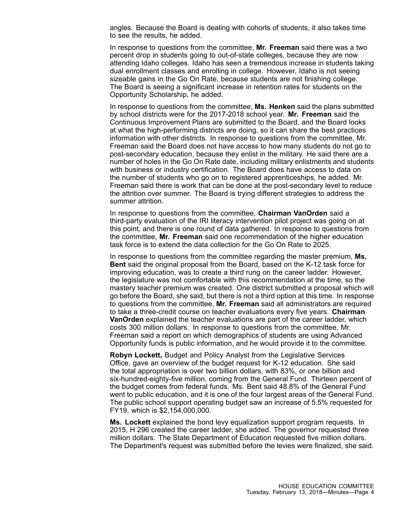angles. Because the Board is dealing with cohorts of students, it also takes time to see the results, he added.

In response to questions from the committee, **Mr. Freeman** said there was <sup>a</sup> two percent drop in students going to out-of-state colleges, because they are now attending Idaho colleges. Idaho has seen <sup>a</sup> tremendous increase in students taking dual enrollment classes and enrolling in college. However, Idaho is not seeing sizeable gains in the Go On Rate, because students are not finishing college. The Board is seeing <sup>a</sup> significant increase in retention rates for students on the Opportunity Scholarship, he added.

In response to questions from the committee, **Ms. Henken** said the plans submitted by school districts were for the 2017-2018 school year. **Mr. Freeman** said the Continuous Improvement Plans are submitted to the Board, and the Board looks at what the high-performing districts are doing, so it can share the best practices information with other districts. In response to questions from the committee, Mr. Freeman said the Board does not have access to how many students do not go to post-secondary education, because they enlist in the military. He said there are <sup>a</sup> number of holes in the Go On Rate date, including military enlistments and students with business or industry certification. The Board does have access to data on the number of students who go on to registered apprenticeships, he added. Mr. Freeman said there is work that can be done at the post-secondary level to reduce the attrition over summer. The Board is trying different strategies to address the summer attrition.

In response to questions from the committee, **Chairman VanOrden** said <sup>a</sup> third-party evaluation of the IRI literacy intervention pilot project was going on at this point, and there is one round of data gathered. In response to questions from the committee, **Mr. Freeman** said one recommendation of the higher education task force is to extend the data collection for the Go On Rate to 2025.

In response to questions from the committee regarding the master premium, **Ms. Bent** said the original proposal from the Board, based on the K-12 task force for improving education, was to create <sup>a</sup> third rung on the career ladder. However, the legislature was not comfortable with this recommendation at the time, so the mastery teacher premium was created. One district submitted <sup>a</sup> proposal which will go before the Board, she said, but there is not <sup>a</sup> third option at this time. In response to questions from the committee, **Mr. Freeman** said all administrators are required to take <sup>a</sup> three-credit course on teacher evaluations every five years. **Chairman VanOrden** explained the teacher evaluations are part of the career ladder, which costs 300 million dollars. In response to questions from the committee, Mr. Freeman said <sup>a</sup> report on which demographics of students are using Advanced Opportunity funds is public information, and he would provide it to the committee.

**Robyn Lockett,** Budget and Policy Analyst from the Legislative Services Office, gave an overview of the budget request for K-12 education. She said the total appropriation is over two billion dollars, with 83%, or one billion and six-hundred-eighty-five million, coming from the General Fund. Thirteen percent of the budget comes from federal funds. Ms. Bent said 48.8% of the General Fund went to public education, and it is one of the four largest areas of the General Fund. The public school support operating budget saw an increase of 5.5% requested for FY19, which is \$2,154,000,000.

**Ms. Lockett** explained the bond levy equalization support program requests. In 2015, H 296 created the career ladder, she added. The governor requested three million dollars. The State Department of Education requested five million dollars. The Department's request was submitted before the levies were finalized, she said.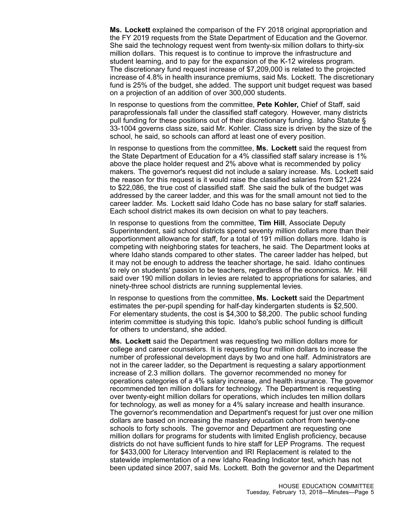**Ms. Lockett** explained the comparison of the FY 2018 original appropriation and the FY 2019 requests from the State Department of Education and the Governor. She said the technology request went from twenty-six million dollars to thirty-six million dollars. This request is to continue to improve the infrastructure and student learning, and to pay for the expansion of the K-12 wireless program. The discretionary fund request increase of \$7,209,000 is related to the projected increase of 4.8% in health insurance premiums, said Ms. Lockett. The discretionary fund is 25% of the budget, she added. The support unit budget request was based on <sup>a</sup> projection of an addition of over 300,000 students.

In response to questions from the committee, **Pete Kohler,** Chief of Staff, said paraprofessionals fall under the classified staff category. However, many districts pull funding for these positions out of their discretionary funding. Idaho Statute § 33-1004 governs class size, said Mr. Kohler. Class size is driven by the size of the school, he said, so schools can afford at least one of every position.

In response to questions from the committee, **Ms. Lockett** said the request from the State Department of Education for <sup>a</sup> 4% classified staff salary increase is 1% above the place holder request and 2% above what is recommended by policy makers. The governor's request did not include <sup>a</sup> salary increase. Ms. Lockett said the reason for this request is it would raise the classified salaries from \$21,224 to \$22,086, the true cost of classified staff. She said the bulk of the budget was addressed by the career ladder, and this was for the small amount not tied to the career ladder. Ms. Lockett said Idaho Code has no base salary for staff salaries. Each school district makes its own decision on what to pay teachers.

In response to questions from the committee, **Tim Hill**, Associate Deputy Superintendent, said school districts spend seventy million dollars more than their apportionment allowance for staff, for <sup>a</sup> total of 191 million dollars more. Idaho is competing with neighboring states for teachers, he said. The Department looks at where Idaho stands compared to other states. The career ladder has helped, but it may not be enough to address the teacher shortage, he said. Idaho continues to rely on students' passion to be teachers, regardless of the economics. Mr. Hill said over 190 million dollars in levies are related to appropriations for salaries, and ninety-three school districts are running supplemental levies.

In response to questions from the committee, **Ms. Lockett** said the Department estimates the per-pupil spending for half-day kindergarten students is \$2,500. For elementary students, the cost is \$4,300 to \$8,200. The public school funding interim committee is studying this topic. Idaho's public school funding is difficult for others to understand, she added.

**Ms. Lockett** said the Department was requesting two million dollars more for college and career counselors. It is requesting four million dollars to increase the number of professional development days by two and one half. Administrators are not in the career ladder, so the Department is requesting <sup>a</sup> salary apportionment increase of 2.3 million dollars. The governor recommended no money for operations categories of <sup>a</sup> 4% salary increase, and health insurance. The governor recommended ten million dollars for technology. The Department is requesting over twenty-eight million dollars for operations, which includes ten million dollars for technology, as well as money for <sup>a</sup> 4% salary increase and health insurance. The governor's recommendation and Department's request for just over one million dollars are based on increasing the mastery education cohort from twenty-one schools to forty schools. The governor and Department are requesting one million dollars for programs for students with limited English proficiency, because districts do not have sufficient funds to hire staff for LEP Programs. The request for \$433,000 for Literacy Intervention and IRI Replacement is related to the statewide implementation of <sup>a</sup> new Idaho Reading Indicator test, which has not been updated since 2007, said Ms. Lockett. Both the governor and the Department